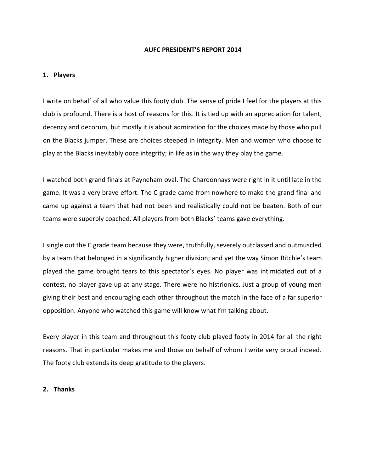#### **1. Players**

I write on behalf of all who value this footy club. The sense of pride I feel for the players at this club is profound. There is a host of reasons for this. It is tied up with an appreciation for talent, decency and decorum, but mostly it is about admiration for the choices made by those who pull on the Blacks jumper. These are choices steeped in integrity. Men and women who choose to play at the Blacks inevitably ooze integrity; in life as in the way they play the game.

I watched both grand finals at Payneham oval. The Chardonnays were right in it until late in the game. It was a very brave effort. The C grade came from nowhere to make the grand final and came up against a team that had not been and realistically could not be beaten. Both of our teams were superbly coached. All players from both Blacks' teams gave everything.

I single out the C grade team because they were, truthfully, severely outclassed and outmuscled by a team that belonged in a significantly higher division; and yet the way Simon Ritchie's team played the game brought tears to this spectator's eyes. No player was intimidated out of a contest, no player gave up at any stage. There were no histrionics. Just a group of young men giving their best and encouraging each other throughout the match in the face of a far superior opposition. Anyone who watched this game will know what I'm talking about.

Every player in this team and throughout this footy club played footy in 2014 for all the right reasons. That in particular makes me and those on behalf of whom I write very proud indeed. The footy club extends its deep gratitude to the players.

#### **2. Thanks**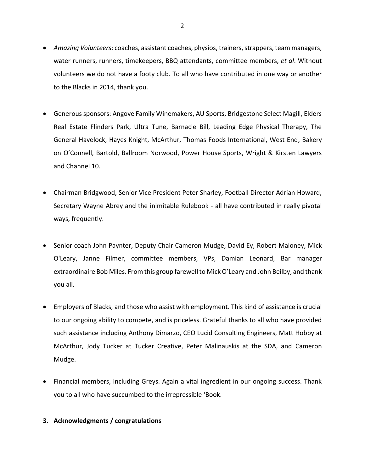- *Amazing Volunteers*: coaches, assistant coaches, physios, trainers, strappers, team managers, water runners, runners, timekeepers, BBQ attendants, committee members, *et al*. Without volunteers we do not have a footy club. To all who have contributed in one way or another to the Blacks in 2014, thank you.
- Generous sponsors: Angove Family Winemakers, AU Sports, Bridgestone Select Magill, Elders Real Estate Flinders Park, Ultra Tune, Barnacle Bill, Leading Edge Physical Therapy, The General Havelock, Hayes Knight, McArthur, Thomas Foods International, West End, Bakery on O'Connell, Bartold, Ballroom Norwood, Power House Sports, Wright & Kirsten Lawyers and Channel 10.
- Chairman Bridgwood, Senior Vice President Peter Sharley, Football Director Adrian Howard, Secretary Wayne Abrey and the inimitable Rulebook - all have contributed in really pivotal ways, frequently.
- Senior coach John Paynter, Deputy Chair Cameron Mudge, David Ey, Robert Maloney, Mick O'Leary, Janne Filmer, committee members, VPs, Damian Leonard, Bar manager extraordinaire Bob Miles. From this group farewell to Mick O'Leary and John Beilby, and thank you all.
- Employers of Blacks, and those who assist with employment. This kind of assistance is crucial to our ongoing ability to compete, and is priceless. Grateful thanks to all who have provided such assistance including Anthony Dimarzo, CEO Lucid Consulting Engineers, Matt Hobby at McArthur, Jody Tucker at Tucker Creative, Peter Malinauskis at the SDA, and Cameron Mudge.
- Financial members, including Greys. Again a vital ingredient in our ongoing success. Thank you to all who have succumbed to the irrepressible 'Book.

# **3. Acknowledgments / congratulations**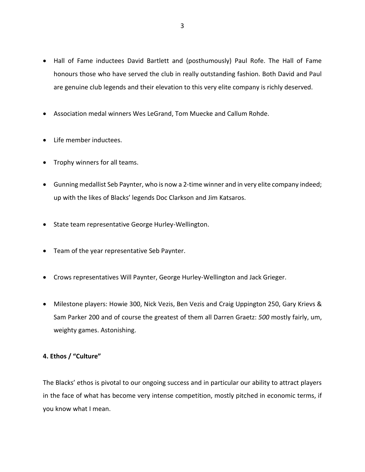- Hall of Fame inductees David Bartlett and (posthumously) Paul Rofe. The Hall of Fame honours those who have served the club in really outstanding fashion. Both David and Paul are genuine club legends and their elevation to this very elite company is richly deserved.
- Association medal winners Wes LeGrand, Tom Muecke and Callum Rohde.
- Life member inductees.
- Trophy winners for all teams.
- Gunning medallist Seb Paynter, who is now a 2-time winner and in very elite company indeed; up with the likes of Blacks' legends Doc Clarkson and Jim Katsaros.
- State team representative George Hurley-Wellington.
- Team of the year representative Seb Paynter.
- Crows representatives Will Paynter, George Hurley-Wellington and Jack Grieger.
- Milestone players: Howie 300, Nick Vezis, Ben Vezis and Craig Uppington 250, Gary Krievs & Sam Parker 200 and of course the greatest of them all Darren Graetz: *500* mostly fairly, um, weighty games. Astonishing.

# **4. Ethos / "Culture"**

The Blacks' ethos is pivotal to our ongoing success and in particular our ability to attract players in the face of what has become very intense competition, mostly pitched in economic terms, if you know what I mean.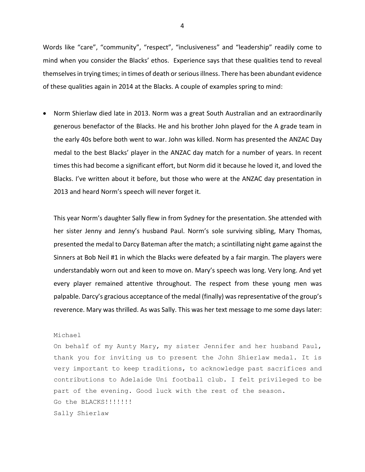Words like "care", "community", "respect", "inclusiveness" and "leadership" readily come to mind when you consider the Blacks' ethos. Experience says that these qualities tend to reveal themselvesin trying times; in times of death or serious illness. There has been abundant evidence of these qualities again in 2014 at the Blacks. A couple of examples spring to mind:

 Norm Shierlaw died late in 2013. Norm was a great South Australian and an extraordinarily generous benefactor of the Blacks. He and his brother John played for the A grade team in the early 40s before both went to war. John was killed. Norm has presented the ANZAC Day medal to the best Blacks' player in the ANZAC day match for a number of years. In recent times this had become a significant effort, but Norm did it because he loved it, and loved the Blacks. I've written about it before, but those who were at the ANZAC day presentation in 2013 and heard Norm's speech will never forget it.

This year Norm's daughter Sally flew in from Sydney for the presentation. She attended with her sister Jenny and Jenny's husband Paul. Norm's sole surviving sibling, Mary Thomas, presented the medal to Darcy Bateman after the match; a scintillating night game against the Sinners at Bob Neil #1 in which the Blacks were defeated by a fair margin. The players were understandably worn out and keen to move on. Mary's speech was long. Very long. And yet every player remained attentive throughout. The respect from these young men was palpable. Darcy's gracious acceptance of the medal (finally) was representative of the group's reverence. Mary was thrilled. As was Sally. This was her text message to me some days later:

#### Michael

On behalf of my Aunty Mary, my sister Jennifer and her husband Paul, thank you for inviting us to present the John Shierlaw medal. It is very important to keep traditions, to acknowledge past sacrifices and contributions to Adelaide Uni football club. I felt privileged to be part of the evening. Good luck with the rest of the season. Go the BLACKS!!!!!!! Sally Shierlaw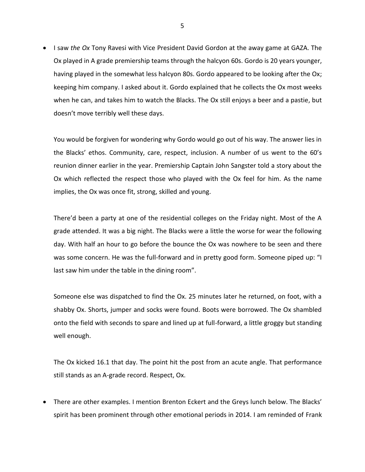I saw *the Ox* Tony Ravesi with Vice President David Gordon at the away game at GAZA. The Ox played in A grade premiership teams through the halcyon 60s. Gordo is 20 years younger, having played in the somewhat less halcyon 80s. Gordo appeared to be looking after the Ox; keeping him company. I asked about it. Gordo explained that he collects the Ox most weeks when he can, and takes him to watch the Blacks. The Ox still enjoys a beer and a pastie, but doesn't move terribly well these days.

You would be forgiven for wondering why Gordo would go out of his way. The answer lies in the Blacks' ethos. Community, care, respect, inclusion. A number of us went to the 60's reunion dinner earlier in the year. Premiership Captain John Sangster told a story about the Ox which reflected the respect those who played with the Ox feel for him. As the name implies, the Ox was once fit, strong, skilled and young.

There'd been a party at one of the residential colleges on the Friday night. Most of the A grade attended. It was a big night. The Blacks were a little the worse for wear the following day. With half an hour to go before the bounce the Ox was nowhere to be seen and there was some concern. He was the full-forward and in pretty good form. Someone piped up: "I last saw him under the table in the dining room".

Someone else was dispatched to find the Ox. 25 minutes later he returned, on foot, with a shabby Ox. Shorts, jumper and socks were found. Boots were borrowed. The Ox shambled onto the field with seconds to spare and lined up at full-forward, a little groggy but standing well enough.

The Ox kicked 16.1 that day. The point hit the post from an acute angle. That performance still stands as an A-grade record. Respect, Ox.

• There are other examples. I mention Brenton Eckert and the Greys lunch below. The Blacks' spirit has been prominent through other emotional periods in 2014. I am reminded of Frank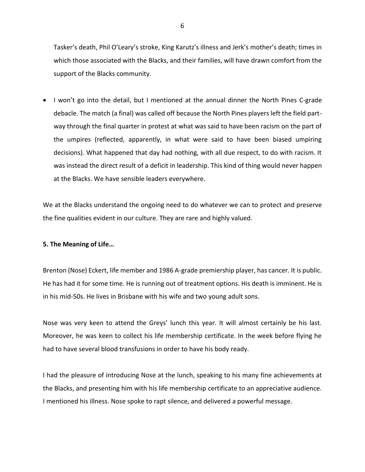Tasker's death, Phil O'Leary's stroke, King Karutz's illness and Jerk's mother's death; times in which those associated with the Blacks, and their families, will have drawn comfort from the support of the Blacks community.

• I won't go into the detail, but I mentioned at the annual dinner the North Pines C-grade debacle. The match (a final) was called off because the North Pines players left the field partway through the final quarter in protest at what was said to have been racism on the part of the umpires (reflected, apparently, in what were said to have been biased umpiring decisions). What happened that day had nothing, with all due respect, to do with racism. It was instead the direct result of a deficit in leadership. This kind of thing would never happen at the Blacks. We have sensible leaders everywhere.

We at the Blacks understand the ongoing need to do whatever we can to protect and preserve the fine qualities evident in our culture. They are rare and highly valued.

# **5. The Meaning of Life…**

Brenton (Nose) Eckert, life member and 1986 A-grade premiership player, has cancer. It is public. He has had it for some time. He is running out of treatment options. His death is imminent. He is in his mid-50s. He lives in Brisbane with his wife and two young adult sons.

Nose was very keen to attend the Greys' lunch this year. It will almost certainly be his last. Moreover, he was keen to collect his life membership certificate. In the week before flying he had to have several blood transfusions in order to have his body ready.

I had the pleasure of introducing Nose at the lunch, speaking to his many fine achievements at the Blacks, and presenting him with his life membership certificate to an appreciative audience. I mentioned his illness. Nose spoke to rapt silence, and delivered a powerful message.